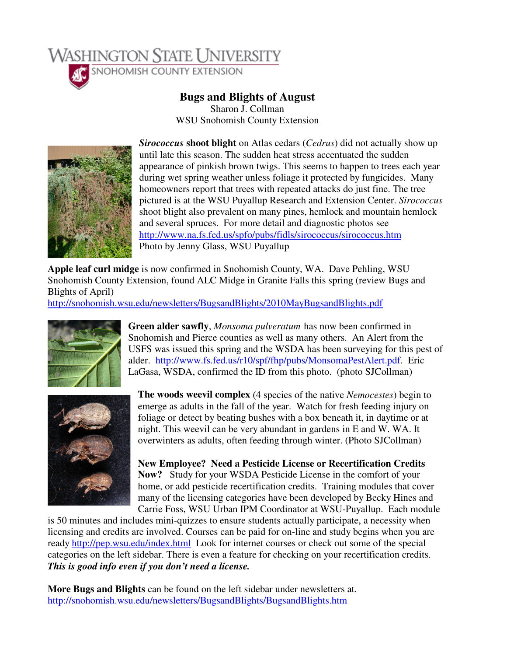

## **Bugs and Blights of August**

Sharon J. Collman WSU Snohomish County Extension



*Sirococcus* **shoot blight** on Atlas cedars (*Cedrus*) did not actually show up until late this season. The sudden heat stress accentuated the sudden appearance of pinkish brown twigs. This seems to happen to trees each year during wet spring weather unless foliage it protected by fungicides. Many homeowners report that trees with repeated attacks do just fine. The tree pictured is at the WSU Puyallup Research and Extension Center. *Sirococcus* shoot blight also prevalent on many pines, hemlock and mountain hemlock and several spruces. For more detail and diagnostic photos see http://www.na.fs.fed.us/spfo/pubs/fidls/sirococcus/sirococcus.htm Photo by Jenny Glass, WSU Puyallup

**Apple leaf curl midge** is now confirmed in Snohomish County, WA. Dave Pehling, WSU Snohomish County Extension, found ALC Midge in Granite Falls this spring (review Bugs and Blights of April)

http://snohomish.wsu.edu/newsletters/BugsandBlights/2010MayBugsandBlights.pdf



**Green alder sawfly**, *Monsoma pulveratum* has now been confirmed in Snohomish and Pierce counties as well as many others. An Alert from the USFS was issued this spring and the WSDA has been surveying for this pest of alder. http://www.fs.fed.us/r10/spf/fhp/pubs/MonsomaPestAlert.pdf. Eric LaGasa, WSDA, confirmed the ID from this photo. (photo SJCollman)



**The woods weevil complex** (4 species of the native *Nemocestes*) begin to emerge as adults in the fall of the year. Watch for fresh feeding injury on foliage or detect by beating bushes with a box beneath it, in daytime or at night. This weevil can be very abundant in gardens in E and W. WA. It overwinters as adults, often feeding through winter. (Photo SJCollman)

**New Employee? Need a Pesticide License or Recertification Credits Now?** Study for your WSDA Pesticide License in the comfort of your home, or add pesticide recertification credits. Training modules that cover many of the licensing categories have been developed by Becky Hines and Carrie Foss, WSU Urban IPM Coordinator at WSU-Puyallup. Each module

is 50 minutes and includes mini-quizzes to ensure students actually participate, a necessity when licensing and credits are involved. Courses can be paid for on-line and study begins when you are ready http://pep.wsu.edu/index.html Look for internet courses or check out some of the special categories on the left sidebar. There is even a feature for checking on your recertification credits. *This is good info even if you don't need a license.*

**More Bugs and Blights** can be found on the left sidebar under newsletters at. http://snohomish.wsu.edu/newsletters/BugsandBlights/BugsandBlights.htm